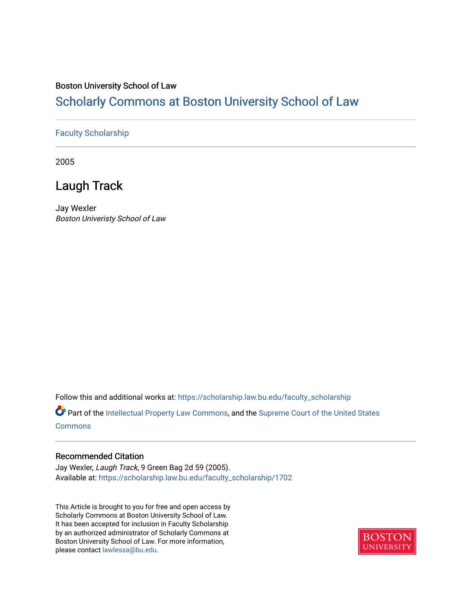#### Boston University School of Law

## [Scholarly Commons at Boston University School of Law](https://scholarship.law.bu.edu/)

#### [Faculty Scholarship](https://scholarship.law.bu.edu/faculty_scholarship)

2005

## Laugh Track

Jay Wexler Boston Univeristy School of Law

Follow this and additional works at: [https://scholarship.law.bu.edu/faculty\\_scholarship](https://scholarship.law.bu.edu/faculty_scholarship?utm_source=scholarship.law.bu.edu%2Ffaculty_scholarship%2F1702&utm_medium=PDF&utm_campaign=PDFCoverPages)

Part of the [Intellectual Property Law Commons,](http://network.bepress.com/hgg/discipline/896?utm_source=scholarship.law.bu.edu%2Ffaculty_scholarship%2F1702&utm_medium=PDF&utm_campaign=PDFCoverPages) and the Supreme Court of the United States [Commons](http://network.bepress.com/hgg/discipline/1350?utm_source=scholarship.law.bu.edu%2Ffaculty_scholarship%2F1702&utm_medium=PDF&utm_campaign=PDFCoverPages)

#### Recommended Citation

Jay Wexler, Laugh Track, 9 Green Bag 2d 59 (2005). Available at: [https://scholarship.law.bu.edu/faculty\\_scholarship/1702](https://scholarship.law.bu.edu/faculty_scholarship/1702?utm_source=scholarship.law.bu.edu%2Ffaculty_scholarship%2F1702&utm_medium=PDF&utm_campaign=PDFCoverPages)

This Article is brought to you for free and open access by Scholarly Commons at Boston University School of Law. It has been accepted for inclusion in Faculty Scholarship by an authorized administrator of Scholarly Commons at Boston University School of Law. For more information, please contact [lawlessa@bu.edu](mailto:lawlessa@bu.edu).

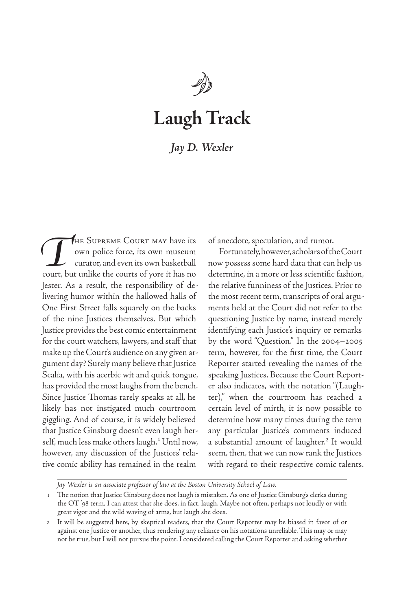

# **Laugh Track**

### *Jay D. Wexler*

THE SUPREME COURT MAY have its<br>
own police force, its own museum<br>
curator, and even its own basketball<br>
court, but unlike the courts of yore it has no own police force, its own museum curator, and even its own basketball court, but unlike the courts of yore it has no Jester. As a result, the responsibility of delivering humor within the hallowed halls of One First Street falls squarely on the backs of the nine Justices themselves. But which Justice provides the best comic entertainment for the court watchers, lawyers, and staff that make up the Court's audience on any given argument day? Surely many believe that Justice Scalia, with his acerbic wit and quick tongue, has provided the most laughs from the bench. Since Justice Thomas rarely speaks at all, he likely has not instigated much courtroom giggling. And of course, it is widely believed that Justice Ginsburg doesn't even laugh herself, much less make others laugh.<sup>1</sup> Until now, however, any discussion of the Justices' relative comic ability has remained in the realm

of anecdote, speculation, and rumor.

Fortunately, however, scholars of the Court now possess some hard data that can help us determine, in a more or less scientific fashion, the relative funniness of the Justices. Prior to the most recent term, transcripts of oral arguments held at the Court did not refer to the questioning Justice by name, instead merely identifying each Justice's inquiry or remarks by the word "Question." In the 2004–2005 term, however, for the first time, the Court Reporter started revealing the names of the speaking Justices. Because the Court Reporter also indicates, with the notation "(Laughter)," when the courtroom has reached a certain level of mirth, it is now possible to determine how many times during the term any particular Justice's comments induced a substantial amount of laughter.<sup>2</sup> It would seem, then, that we can now rank the Justices with regard to their respective comic talents.

*Jay Wexler is an associate professor of law at the Boston University School of Law.*

<sup>1</sup> The notion that Justice Ginsburg does not laugh is mistaken. As one of Justice Ginsburg's clerks during the OT '98 term, I can attest that she does, in fact, laugh. Maybe not often, perhaps not loudly or with great vigor and the wild waving of arms, but laugh she does.

<sup>2</sup> It will be suggested here, by skeptical readers, that the Court Reporter may be biased in favor of or against one Justice or another, thus rendering any reliance on his notations unreliable. This may or may not be true, but I will not pursue the point. I considered calling the Court Reporter and asking whether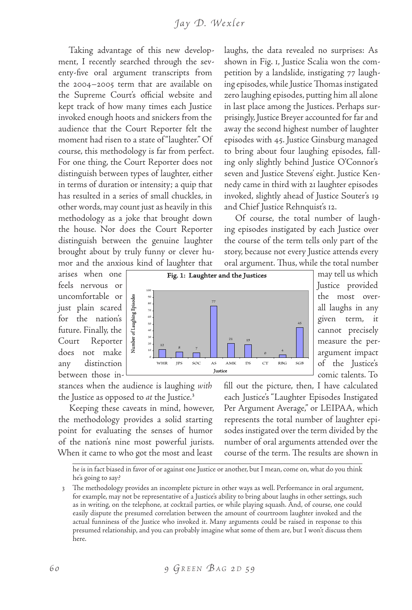#### *J a y D. We x l e r*

Taking advantage of this new development, I recently searched through the seventy-five oral argument transcripts from the 2004–2005 term that are available on the Supreme Court's official website and kept track of how many times each Justice invoked enough hoots and snickers from the audience that the Court Reporter felt the moment had risen to a state of "laughter." Of course, this methodology is far from perfect. For one thing, the Court Reporter does not distinguish between types of laughter, either in terms of duration or intensity; a quip that has resulted in a series of small chuckles, in other words, may count just as heavily in this methodology as a joke that brought down the house. Nor does the Court Reporter distinguish between the genuine laughter brought about by truly funny or clever humor and the anxious kind of laughter that

arises when one feels nervous or uncomfortable or just plain scared for the nation's future. Finally, the Court Reporter does not make any distinction between those in-

stances when the audience is laughing *with*  the Justice as opposed to *at* the Justice.3

Number of Laughing Episodes

 $\frac{12}{3}$  8 7

Keeping these caveats in mind, however, the methodology provides a solid starting point for evaluating the senses of humor of the nation's nine most powerful jurists. When it came to who got the most and least

laughs, the data revealed no surprises: As shown in Fig. 1, Justice Scalia won the competition by a landslide, instigating 77 laughing episodes, while Justice Thomas instigated zero laughing episodes, putting him all alone in last place among the Justices. Perhaps surprisingly, Justice Breyer accounted for far and away the second highest number of laughter episodes with 45. Justice Ginsburg managed to bring about four laughing episodes, falling only slightly behind Justice O'Connor's seven and Justice Stevens' eight. Justice Kennedy came in third with 21 laughter episodes invoked, slightly ahead of Justice Souter's 19 and Chief Justice Rehnquist's 12.

Of course, the total number of laughing episodes instigated by each Justice over the course of the term tells only part of the story, because not every Justice attends every oral argument. Thus, while the total number



may tell us which Justice provided the most overall laughs in any given term, it cannot precisely measure the perargument impact of the Justice's comic talents. To

fill out the picture, then, I have calculated each Justice's "Laughter Episodes Instigated Per Argument Average," or LEIPAA, which represents the total number of laughter episodes instigated over the term divided by the number of oral arguments attended over the course of the term. The results are shown in

he is in fact biased in favor of or against one Justice or another, but I mean, come on, what do you think he's going to say?

3 The methodology provides an incomplete picture in other ways as well. Performance in oral argument, for example, may not be representative of a Justice's ability to bring about laughs in other settings, such as in writing, on the telephone, at cocktail parties, or while playing squash. And, of course, one could easily dispute the presumed correlation between the amount of courtroom laughter invoked and the actual funniness of the Justice who invoked it. Many arguments could be raised in response to this presumed relationship, and you can probably imagine what some of them are, but I won't discuss them here.